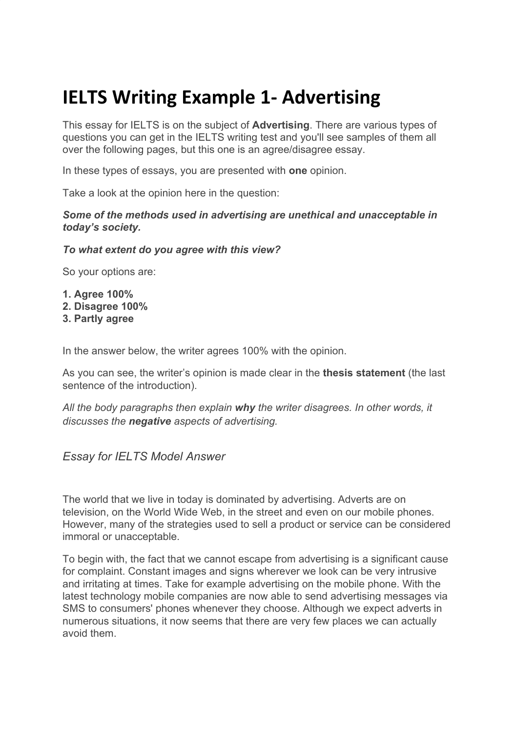# **IELTS Writing Example 1- Advertising**

This essay for IELTS is on the subject of **Advertising**. There are various types of questions you can get in the IELTS writing test and you'll see samples of them all over the following pages, but this one is an agree/disagree essay.

In these types of essays, you are presented with **one** opinion.

Take a look at the opinion here in the question:

#### *Some of the methods used in advertising are unethical and unacceptable in today's society.*

#### *To what extent do you agree with this view?*

So your options are:

**1. Agree 100% 2. Disagree 100% 3. Partly agree**

In the answer below, the writer agrees 100% with the opinion.

As you can see, the writer's opinion is made clear in the **thesis statement** (the last sentence of the introduction).

*All the body paragraphs then explain why the writer disagrees. In other words, it discusses the negative aspects of advertising.*

### *Essay for IELTS Model Answer*

The world that we live in today is dominated by advertising. Adverts are on television, on the World Wide Web, in the street and even on our mobile phones. However, many of the strategies used to sell a product or service can be considered immoral or unacceptable.

To begin with, the fact that we cannot escape from advertising is a significant cause for complaint. Constant images and signs wherever we look can be very intrusive and irritating at times. Take for example advertising on the mobile phone. With the latest technology mobile companies are now able to send advertising messages via SMS to consumers' phones whenever they choose. Although we expect adverts in numerous situations, it now seems that there are very few places we can actually avoid them.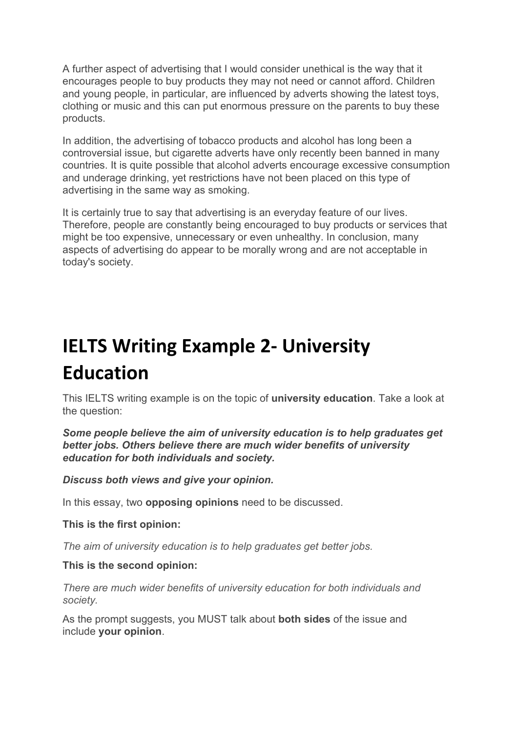A further aspect of advertising that I would consider unethical is the way that it encourages people to buy products they may not need or cannot afford. Children and young people, in particular, are influenced by adverts showing the latest toys, clothing or music and this can put enormous pressure on the parents to buy these products.

In addition, the advertising of tobacco products and alcohol has long been a controversial issue, but cigarette adverts have only recently been banned in many countries. It is quite possible that alcohol adverts encourage excessive consumption and underage drinking, yet restrictions have not been placed on this type of advertising in the same way as smoking.

It is certainly true to say that advertising is an everyday feature of our lives. Therefore, people are constantly being encouraged to buy products or services that might be too expensive, unnecessary or even unhealthy. In conclusion, many aspects of advertising do appear to be morally wrong and are not acceptable in today's society.

# **IELTS Writing Example 2- University Education**

This IELTS writing example is on the topic of **university education**. Take a look at the question:

*Some people believe the aim of university education is to help graduates get better jobs. Others believe there are much wider benefits of university education for both individuals and society.*

*Discuss both views and give your opinion.*

In this essay, two **opposing opinions** need to be discussed.

**This is the first opinion:**

*The aim of university education is to help graduates get better jobs.*

### **This is the second opinion:**

*There are much wider benefits of university education for both individuals and society.*

As the prompt suggests, you MUST talk about **both sides** of the issue and include **your opinion**.